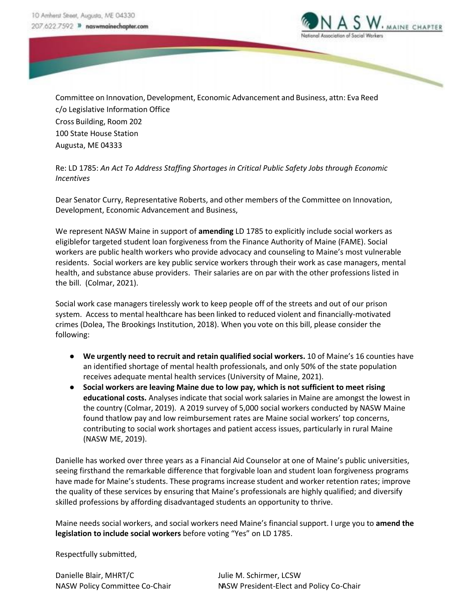

Committee on Innovation, Development, Economic Advancement and Business, attn: Eva Reed c/o Legislative Information Office Cross Building, Room 202 100 State House Station Augusta, ME 04333

Re: LD 1785: *An Act To Address Staffing Shortages in Critical Public Safety Jobs through Economic Incentives*

Dear Senator Curry, Representative Roberts, and other members of the Committee on Innovation, Development, Economic Advancement and Business,

We represent NASW Maine in support of **amending** LD 1785 to explicitly include social workers as eligiblefor targeted student loan forgiveness from the Finance Authority of Maine (FAME). Social workers are public health workers who provide advocacy and counseling to Maine's most vulnerable residents. Social workers are key public service workers through their work as case managers, mental health, and substance abuse providers. Their salaries are on par with the other professions listed in the bill. (Colmar, 2021).

Social work case managers tirelessly work to keep people off of the streets and out of our prison system. Access to mental healthcare has been linked to reduced violent and financially-motivated crimes (Dolea, The Brookings Institution, 2018). When you vote on this bill, please consider the following:

- **We urgently need to recruit and retain qualified social workers.** 10 of Maine's 16 counties have an identified shortage of mental health professionals, and only 50% of the state population receives adequate mental health services (University of Maine, 2021).
- **Social workers are leaving Maine due to low pay, which is not sufficient to meet rising educational costs.** Analyses indicate that social work salaries in Maine are amongst the lowest in the country (Colmar, 2019). A 2019 survey of 5,000 social workers conducted by NASW Maine found thatlow pay and low reimbursement rates are Maine social workers' top concerns, contributing to social work shortages and patient access issues, particularly in rural Maine (NASW ME, 2019).

Danielle has worked over three years as a Financial Aid Counselor at one of Maine's public universities, seeing firsthand the remarkable difference that forgivable loan and student loan forgiveness programs have made for Maine's students. These programs increase student and worker retention rates; improve the quality of these services by ensuring that Maine's professionals are highly qualified; and diversify skilled professions by affording disadvantaged students an opportunity to thrive.

Maine needs social workers, and social workers need Maine's financial support. I urge you to **amend the legislation to include social workers** before voting "Yes" on LD 1785.

Respectfully submitted,

Danielle Blair, MHRT/C Julie M. Schirmer, LCSW

NASW Policy Committee Co-Chair NASW President-Elect and Policy Co-Chair